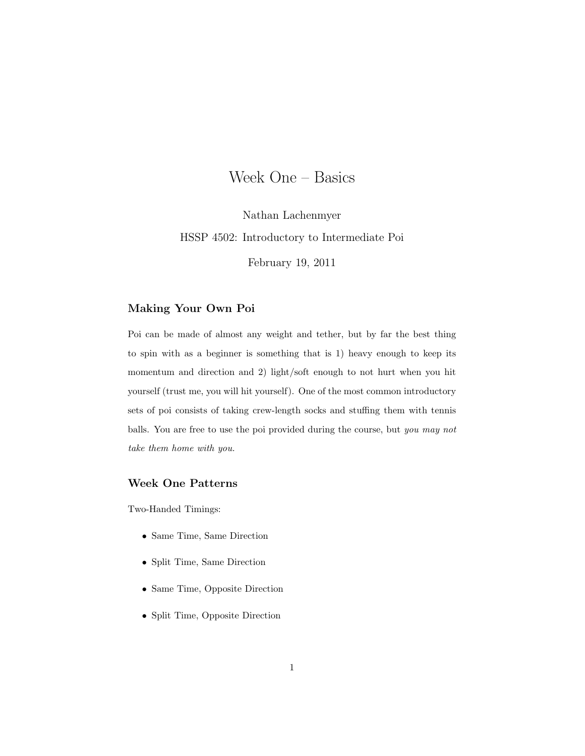## Week One – Basics

Nathan Lachenmyer HSSP 4502: Introductory to Intermediate Poi

February 19, 2011

## Making Your Own Poi

Poi can be made of almost any weight and tether, but by far the best thing to spin with as a beginner is something that is 1) heavy enough to keep its momentum and direction and 2) light/soft enough to not hurt when you hit yourself (trust me, you will hit yourself). One of the most common introductory sets of poi consists of taking crew-length socks and stuffing them with tennis balls. You are free to use the poi provided during the course, but you may not take them home with you.

## Week One Patterns

Two-Handed Timings:

- Same Time, Same Direction
- Split Time, Same Direction
- Same Time, Opposite Direction
- Split Time, Opposite Direction